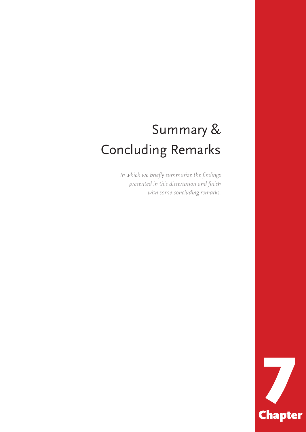# Summary & Concluding Remarks

*In which we briefly summarize the findings presented in this dissertation and finish with some concluding remarks.*

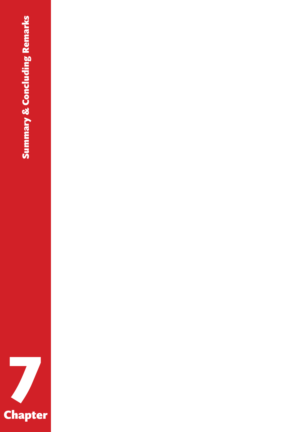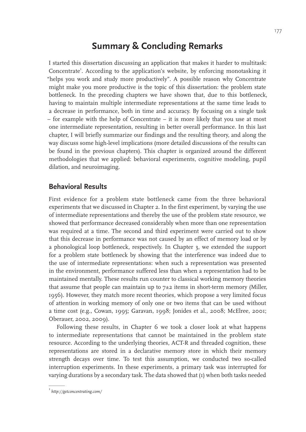# **Summary & Concluding Remarks**

I started this dissertation discussing an application that makes it harder to multitask: Concentrate<sup>1</sup>. According to the application's website, by enforcing monotasking it "helps you work and study more productively". A possible reason why Concentrate might make you more productive is the topic of this dissertation: the problem state bottleneck. In the preceding chapters we have shown that, due to this bottleneck, having to maintain multiple intermediate representations at the same time leads to a decrease in performance, both in time and accuracy. By focusing on a single task – for example with the help of Concentrate – it is more likely that you use at most one intermediate representation, resulting in better overall performance. In this last chapter, I will briefly summarize our findings and the resulting theory, and along the way discuss some high-level implications (more detailed discussions of the results can be found in the previous chapters). This chapter is organized around the different methodologies that we applied: behavioral experiments, cognitive modeling, pupil dilation, and neuroimaging.

#### **Behavioral Results**

First evidence for a problem state bottleneck came from the three behavioral experiments that we discussed in Chapter 2. In the first experiment, by varying the use of intermediate representations and thereby the use of the problem state resource, we showed that performance decreased considerably when more than one representation was required at a time. The second and third experiment were carried out to show that this decrease in performance was not caused by an effect of memory load or by a phonological loop bottleneck, respectively. In Chapter 3, we extended the support for a problem state bottleneck by showing that the interference was indeed due to the use of intermediate representations: when such a representation was presented in the environment, performance suffered less than when a representation had to be maintained mentally. These results run counter to classical working memory theories that assume that people can maintain up to  $7\pm 2$  items in short-term memory (Miller, 1956). However, they match more recent theories, which propose a very limited focus of attention in working memory of only one or two items that can be used without a time cost (e.g., Cowan, 1995; Garavan, 1998; Jonides et al., 2008; McElree, 2001; Oberauer, 2002, 2009).

Following these results, in Chapter 6 we took a closer look at what happens to intermediate representations that cannot be maintained in the problem state resource. According to the underlying theories, ACT-R and threaded cognition, these representations are stored in a declarative memory store in which their memory strength decays over time. To test this assumption, we conducted two so-called interruption experiments. In these experiments, a primary task was interrupted for varying durations by a secondary task. The data showed that (1) when both tasks needed

<sup>1</sup>  *http://getconcentrating.com/*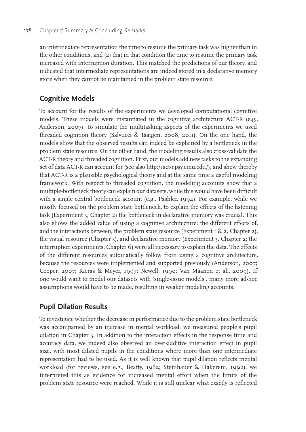#### 178 Chapter 7 Summary & Concluding Remarks

an intermediate representation the time to resume the primary task was higher than in the other conditions, and (2) that in that condition the time to resume the primary task increased with interruption duration. This matched the predictions of our theory, and indicated that intermediate representations are indeed stored in a declarative memory store when they cannot be maintained in the problem state resource.

# **Cognitive Models**

To account for the results of the experiments we developed computational cognitive models. These models were instantiated in the cognitive architecture ACT-R (e.g., Anderson, 2007). To simulate the multitasking aspects of the experiments we used threaded cognition theory (Salvucci & Taatgen, 2008, 2011). On the one hand, the models show that the observed results can indeed be explained by a bottleneck in the problem state resource. On the other hand, the modeling results also cross-validate the ACT-R theory and threaded cognition. First, our models add new tasks to the expanding set of data ACT-R can account for (see also http://act-r.psy.cmu.edu/), and show thereby that ACT-R is a plausible psychological theory and at the same time a useful modeling framework. With respect to threaded cognition, the modeling accounts show that a multiple-bottleneck theory can explain our datasets, while this would have been difficult with a single central bottleneck account (e.g., Pashler, 1994). For example, while we mostly focused on the problem state bottleneck, to explain the effects of the listening task (Experiment 3, Chapter 2) the bottleneck in declarative memory was crucial. This also shows the added value of using a cognitive architecture: the different effects of, and the interactions between, the problem state resource (Experiment  $I \& 2$ , Chapter 2), the visual resource (Chapter 3), and declarative memory (Experiment 3, Chapter 2; the interruption experiments, Chapter 6) were all necessary to explain the data. The effects of the different resources automatically follow from using a cognitive architecture, because the resources were implemented and supported previously (Anderson, 2007; Cooper, 2007; Kieras & Meyer, 1997; Newell, 1990; Van Maanen et al., 2009). If one would want to model our datasets with 'single-issue models', many more ad-hoc assumptions would have to be made, resulting in weaker modeling accounts.

## **Pupil Dilation Results**

To investigate whether the decrease in performance due to the problem state bottleneck was accompanied by an increase in mental workload, we measured people's pupil dilation in Chapter 3. In addition to the interaction effects in the response time and accuracy data, we indeed also observed an over-additive interaction effect in pupil size, with most dilated pupils in the conditions where more than one intermediate representation had to be used. As it is well known that pupil dilation reflects mental workload (for reviews, see e.g., Beatty, 1982; Steinhauer & Hakerem, 1992), we interpreted this as evidence for increased mental effort when the limits of the problem state resource were reached. While it is still unclear what exactly is reflected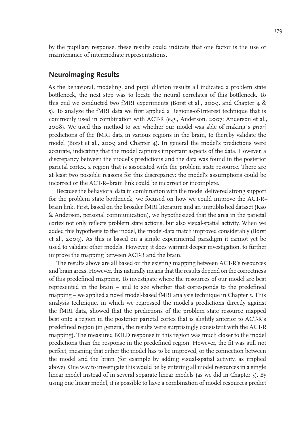by the pupillary response, these results could indicate that one factor is the use or maintenance of intermediate representations.

### **Neuroimaging Results**

As the behavioral, modeling, and pupil dilation results all indicated a problem state bottleneck, the next step was to locate the neural correlates of this bottleneck. To this end we conducted two fMRI experiments (Borst et al., 2009, and Chapter 4 & 5). To analyze the fMRI data we first applied a Regions-of-Interest technique that is commonly used in combination with ACT-R (e.g., Anderson, 2007; Anderson et al., 2008). We used this method to see whether our model was able of making *a priori* predictions of the fMRI data in various regions in the brain, to thereby validate the model (Borst et al., 2009 and Chapter 4). In general the model's predictions were accurate, indicating that the model captures important aspects of the data. However, a discrepancy between the model's predictions and the data was found in the posterior parietal cortex, a region that is associated with the problem state resource. There are at least two possible reasons for this discrepancy: the model's assumptions could be incorrect or the ACT-R–brain link could be incorrect or incomplete.

Because the behavioral data in combination with the model delivered strong support for the problem state bottleneck, we focused on how we could improve the ACT-R– brain link. First, based on the broader fMRI literature and an unpublished dataset (Kao & Anderson, personal communication), we hypothesized that the area in the parietal cortex not only reflects problem state actions, but also visual-spatial activity. When we added this hypothesis to the model, the model-data match improved considerably (Borst et al., 2009). As this is based on a single experimental paradigm it cannot yet be used to validate other models. However, it does warrant deeper investigation, to further improve the mapping between ACT-R and the brain.

The results above are all based on the existing mapping between ACT-R's resources and brain areas. However, this naturally means that the results depend on the correctness of this predefined mapping. To investigate where the resources of our model are best represented in the brain – and to see whether that corresponds to the predefined mapping – we applied a novel model-based fMRI analysis technique in Chapter 5. This analysis technique, in which we regressed the model's predictions directly against the fMRI data, showed that the predictions of the problem state resource mapped best onto a region in the posterior parietal cortex that is slightly anterior to ACT-R's predefined region (in general, the results were surprisingly consistent with the ACT-R mapping). The measured BOLD response in this region was much closer to the model predictions than the response in the predefined region. However, the fit was still not perfect, meaning that either the model has to be improved, or the connection between the model and the brain (for example by adding visual-spatial activity, as implied above). One way to investigate this would be by entering all model resources in a single linear model instead of in several separate linear models (as we did in Chapter 5). By using one linear model, it is possible to have a combination of model resources predict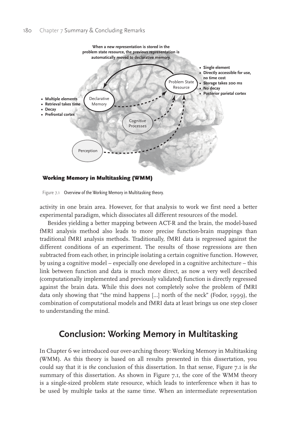

Figure 7.1 Overview of the Working Memory in Multitasking theory.

activity in one brain area. However, for that analysis to work we first need a better experimental paradigm, which dissociates all different resources of the model.

Besides yielding a better mapping between ACT-R and the brain, the model-based fMRI analysis method also leads to more precise function-brain mappings than traditional fMRI analysis methods. Traditionally, fMRI data is regressed against the different conditions of an experiment. The results of those regressions are then subtracted from each other, in principle isolating a certain cognitive function. However, by using a cognitive model – especially one developed in a cognitive architecture – this link between function and data is much more direct, as now a very well described (computationally implemented and previously validated) function is directly regressed against the brain data. While this does not completely solve the problem of fMRI data only showing that "the mind happens […] north of the neck" (Fodor, 1999), the combination of computational models and fMRI data at least brings us one step closer to understanding the mind.

# **Conclusion: Working Memory in Multitasking**

In Chapter 6 we introduced our over-arching theory: Working Memory in Multitasking (WMM). As this theory is based on all results presented in this dissertation, you could say that it is *the* conclusion of this dissertation. In that sense, Figure 7.1 is *the*  summary of this dissertation. As shown in Figure 7.1, the core of the WMM theory is a single-sized problem state resource, which leads to interference when it has to be used by multiple tasks at the same time. When an intermediate representation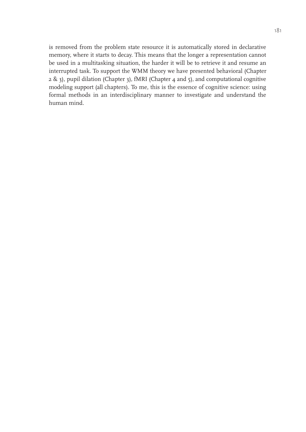is removed from the problem state resource it is automatically stored in declarative memory, where it starts to decay. This means that the longer a representation cannot be used in a multitasking situation, the harder it will be to retrieve it and resume an interrupted task. To support the WMM theory we have presented behavioral (Chapter 2 & 3), pupil dilation (Chapter 3), fMRI (Chapter 4 and 5), and computational cognitive modeling support (all chapters). To me, this is the essence of cognitive science: using formal methods in an interdisciplinary manner to investigate and understand the human mind.